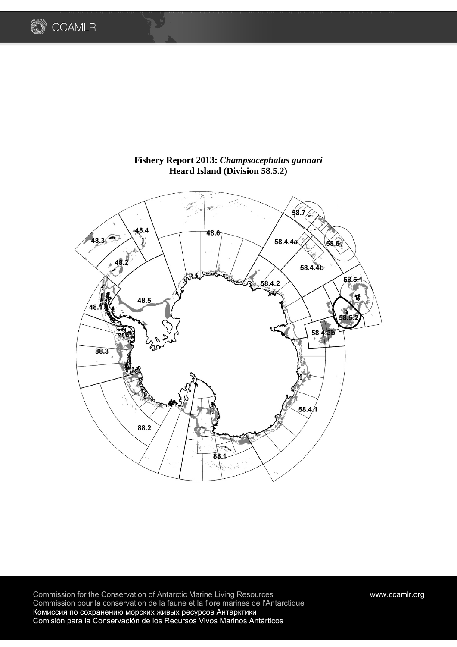



# **Fishery Report 2013:** *Champsocephalus gunnari* **Heard Island (Division 58.5.2)**

Commission for the Conservation of Antarctic Marine Living Resources www.ccamlr.org Commission pour la conservation de la faune et la flore marines de l'Antarctique Комиссия по сохранению морских живых ресурсов Антарктики Comisión para la Conservación de los Recursos Vivos Marinos Antárticos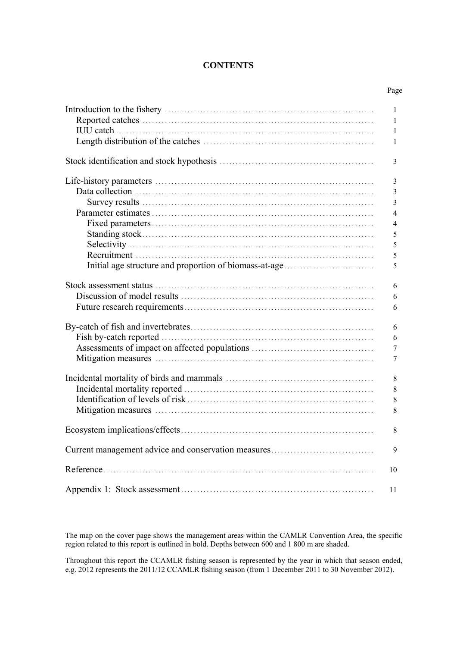# **CONTENTS**

Page

|                                                        | 1                |
|--------------------------------------------------------|------------------|
|                                                        | 1                |
|                                                        | $\mathbf{1}$     |
|                                                        | $\mathbf{1}$     |
|                                                        |                  |
|                                                        | 3                |
|                                                        | $\mathfrak{Z}$   |
|                                                        | $\overline{3}$   |
|                                                        | $\overline{3}$   |
|                                                        | $\overline{4}$   |
|                                                        |                  |
|                                                        | $\overline{4}$   |
|                                                        | 5                |
|                                                        | 5                |
|                                                        | 5                |
| Initial age structure and proportion of biomass-at-age | 5                |
|                                                        | 6                |
|                                                        | 6                |
|                                                        | 6                |
|                                                        |                  |
|                                                        | 6                |
|                                                        | 6                |
|                                                        | $\boldsymbol{7}$ |
|                                                        | $\overline{7}$   |
|                                                        |                  |
|                                                        | $\,8\,$          |
|                                                        | $\,8\,$          |
|                                                        | $8\,$            |
|                                                        | 8                |
|                                                        |                  |
|                                                        | $\,$ 8 $\,$      |
| Current management advice and conservation measures    | 9                |
|                                                        |                  |
|                                                        | 10               |
|                                                        | 11               |

The map on the cover page shows the management areas within the CAMLR Convention Area, the specific region related to this report is outlined in bold. Depths between 600 and 1 800 m are shaded.

Throughout this report the CCAMLR fishing season is represented by the year in which that season ended, e.g. 2012 represents the 2011/12 CCAMLR fishing season (from 1 December 2011 to 30 November 2012).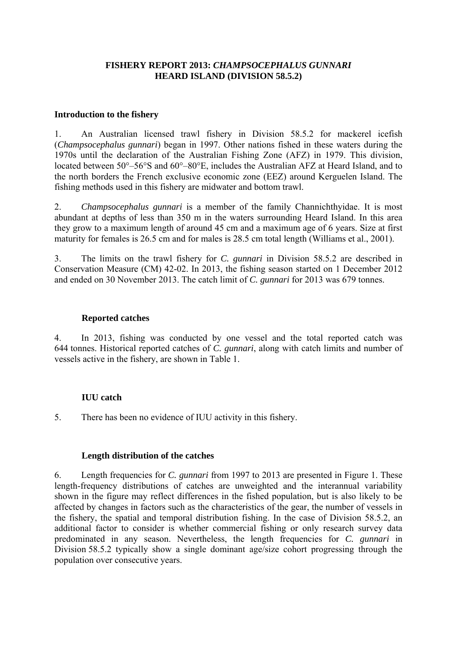# **FISHERY REPORT 2013:** *CHAMPSOCEPHALUS GUNNARI* **HEARD ISLAND (DIVISION 58.5.2)**

### **Introduction to the fishery**

1. An Australian licensed trawl fishery in Division 58.5.2 for mackerel icefish (*Champsocephalus gunnari*) began in 1997. Other nations fished in these waters during the 1970s until the declaration of the Australian Fishing Zone (AFZ) in 1979. This division, located between 50°–56°S and 60°–80°E, includes the Australian AFZ at Heard Island, and to the north borders the French exclusive economic zone (EEZ) around Kerguelen Island. The fishing methods used in this fishery are midwater and bottom trawl.

2. *Champsocephalus gunnari* is a member of the family Channichthyidae. It is most abundant at depths of less than 350 m in the waters surrounding Heard Island. In this area they grow to a maximum length of around 45 cm and a maximum age of 6 years. Size at first maturity for females is 26.5 cm and for males is 28.5 cm total length (Williams et al., 2001).

3. The limits on the trawl fishery for *C. gunnari* in Division 58.5.2 are described in Conservation Measure (CM) 42-02. In 2013, the fishing season started on 1 December 2012 and ended on 30 November 2013. The catch limit of *C. gunnari* for 2013 was 679 tonnes.

### **Reported catches**

4. In 2013, fishing was conducted by one vessel and the total reported catch was 644 tonnes. Historical reported catches of *C. gunnari*, along with catch limits and number of vessels active in the fishery, are shown in Table 1.

## **IUU catch**

5. There has been no evidence of IUU activity in this fishery.

## **Length distribution of the catches**

6. Length frequencies for *C. gunnari* from 1997 to 2013 are presented in Figure 1. These length-frequency distributions of catches are unweighted and the interannual variability shown in the figure may reflect differences in the fished population, but is also likely to be affected by changes in factors such as the characteristics of the gear, the number of vessels in the fishery, the spatial and temporal distribution fishing. In the case of Division 58.5.2, an additional factor to consider is whether commercial fishing or only research survey data predominated in any season. Nevertheless, the length frequencies for *C. gunnari* in Division 58.5.2 typically show a single dominant age/size cohort progressing through the population over consecutive years.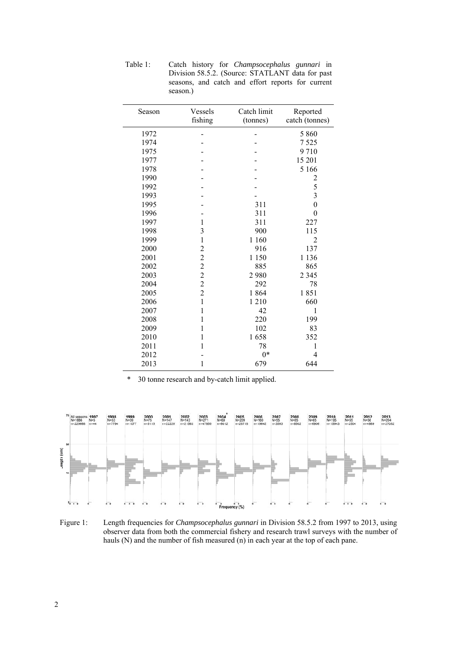| Season | Vessels<br>fishing                         | Catch limit<br>(tonnes) | Reported<br>catch (tonnes) |
|--------|--------------------------------------------|-------------------------|----------------------------|
| 1972   |                                            |                         | 5 8 6 0                    |
| 1974   |                                            |                         | 7525                       |
| 1975   |                                            |                         | 9710                       |
| 1977   |                                            |                         | 15 201                     |
| 1978   |                                            |                         | 5 1 6 6                    |
| 1990   |                                            |                         | $\overline{\mathbf{c}}$    |
| 1992   |                                            |                         |                            |
| 1993   |                                            |                         | $\frac{5}{3}$              |
| 1995   |                                            | 311                     | $\overline{0}$             |
| 1996   |                                            | 311                     | $\theta$                   |
| 1997   | $\mathbf{1}$                               | 311                     | 227                        |
| 1998   | 3                                          | 900                     | 115                        |
| 1999   | $\,1$                                      | 1 1 6 0                 | $\overline{2}$             |
| 2000   | $\overline{c}$                             | 916                     | 137                        |
| 2001   | $\overline{c}$                             | 1 1 5 0                 | 1 1 3 6                    |
| 2002   |                                            | 885                     | 865                        |
| 2003   | $\begin{array}{c} 2 \\ 2 \\ 2 \end{array}$ | 2980                    | 2 3 4 5                    |
| 2004   |                                            | 292                     | 78                         |
| 2005   | $\overline{2}$                             | 1864                    | 1851                       |
| 2006   | $\mathbf{1}$                               | 1210                    | 660                        |
| 2007   | $\mathbf 1$                                | 42                      | 1                          |
| 2008   | 1                                          | 220                     | 199                        |
| 2009   | $\mathbf{1}$                               | 102                     | 83                         |
| 2010   | $\mathbf 1$                                | 1658                    | 352                        |
| 2011   | 1                                          | 78                      | 1                          |
| 2012   |                                            | $0*$                    | 4                          |
| 2013   | $\mathbf{1}$                               | 679                     | 644                        |

Table 1: Catch history for *Champsocephalus gunnari* in Division 58.5.2. (Source: STATLANT data for past seasons, and catch and effort reports for current season.)

\* 30 tonne research and by-catch limit applied.



Figure 1: Length frequencies for *Champsocephalus gunnari* in Division 58.5.2 from 1997 to 2013, using observer data from both the commercial fishery and research trawl surveys with the number of hauls (N) and the number of fish measured (n) in each year at the top of each pane.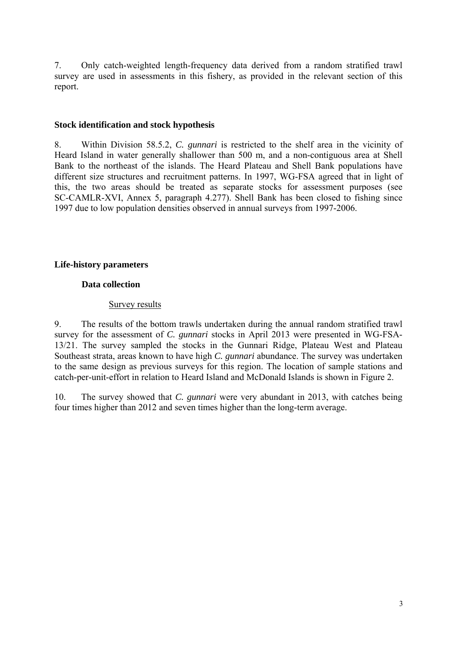7. Only catch-weighted length-frequency data derived from a random stratified trawl survey are used in assessments in this fishery, as provided in the relevant section of this report.

### **Stock identification and stock hypothesis**

8. Within Division 58.5.2, *C. gunnari* is restricted to the shelf area in the vicinity of Heard Island in water generally shallower than 500 m, and a non-contiguous area at Shell Bank to the northeast of the islands. The Heard Plateau and Shell Bank populations have different size structures and recruitment patterns. In 1997, WG-FSA agreed that in light of this, the two areas should be treated as separate stocks for assessment purposes (see SC-CAMLR-XVI, Annex 5, paragraph 4.277). Shell Bank has been closed to fishing since 1997 due to low population densities observed in annual surveys from 1997-2006.

## **Life-history parameters**

## **Data collection**

## Survey results

9. The results of the bottom trawls undertaken during the annual random stratified trawl survey for the assessment of *C. gunnari* stocks in April 2013 were presented in WG-FSA-13/21. The survey sampled the stocks in the Gunnari Ridge, Plateau West and Plateau Southeast strata, areas known to have high *C. gunnari* abundance. The survey was undertaken to the same design as previous surveys for this region. The location of sample stations and catch-per-unit-effort in relation to Heard Island and McDonald Islands is shown in Figure 2.

10. The survey showed that *C. gunnari* were very abundant in 2013, with catches being four times higher than 2012 and seven times higher than the long-term average.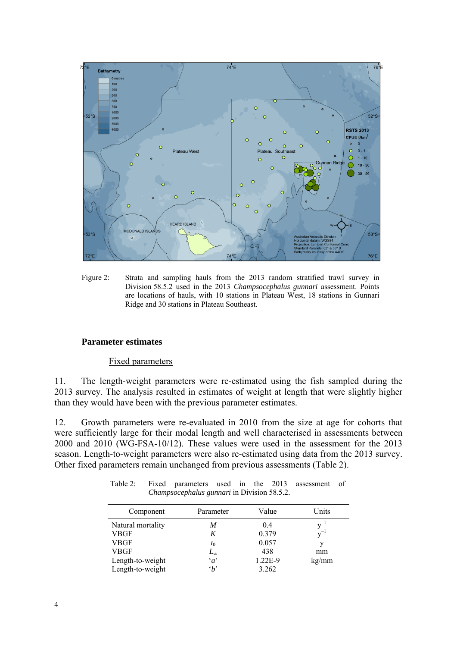

Figure 2: Strata and sampling hauls from the 2013 random stratified trawl survey in Division 58.5.2 used in the 2013 *Champsocephalus gunnari* assessment. Points are locations of hauls, with 10 stations in Plateau West, 18 stations in Gunnari Ridge and 30 stations in Plateau Southeast*.*

## **Parameter estimates**

Fixed parameters

11. The length-weight parameters were re-estimated using the fish sampled during the 2013 survey. The analysis resulted in estimates of weight at length that were slightly higher than they would have been with the previous parameter estimates.

12. Growth parameters were re-evaluated in 2010 from the size at age for cohorts that were sufficiently large for their modal length and well characterised in assessments between 2000 and 2010 (WG-FSA-10/12). These values were used in the assessment for the 2013 season. Length-to-weight parameters were also re-estimated using data from the 2013 survey. Other fixed parameters remain unchanged from previous assessments (Table 2).

| Component         | Parameter    | Value   | Units    |
|-------------------|--------------|---------|----------|
| Natural mortality | M            | 04      | $v^{-1}$ |
| VBGF              | K            | 0.379   | $v^{-1}$ |
| <b>VBGF</b>       | $t_0$        | 0.057   |          |
| <b>VBGF</b>       | $L_{\infty}$ | 438     | mm       |
| Length-to-weight  | $\alpha$     | 1.22E-9 | kg/mm    |
| Length-to-weight  | $\Delta$     | 3.262   |          |

Table 2: Fixed parameters used in the 2013 assessment of *Champsocephalus gunnari* in Division 58.5.2.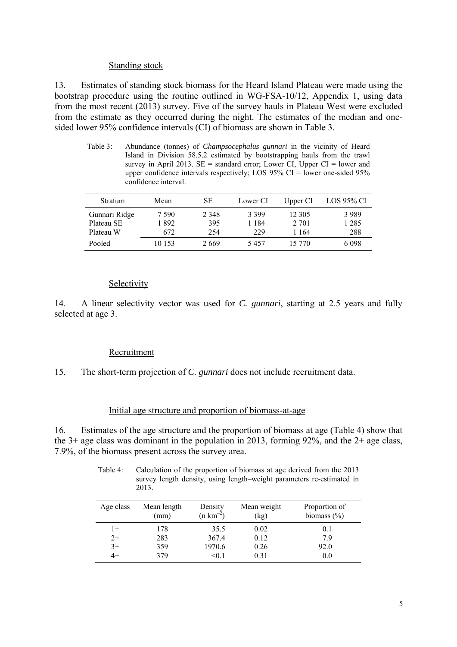### Standing stock

13. Estimates of standing stock biomass for the Heard Island Plateau were made using the bootstrap procedure using the routine outlined in WG-FSA-10/12, Appendix 1, using data from the most recent (2013) survey. Five of the survey hauls in Plateau West were excluded from the estimate as they occurred during the night. The estimates of the median and onesided lower 95% confidence intervals (CI) of biomass are shown in Table 3.

Table 3: Abundance (tonnes) of *Champsocephalus gunnari* in the vicinity of Heard Island in Division 58.5.2 estimated by bootstrapping hauls from the trawl survey in April 2013.  $SE =$  standard error; Lower CI, Upper CI = lower and upper confidence intervals respectively; LOS  $95\%$  CI = lower one-sided  $95\%$ confidence interval.

| Stratum       | Mean   | SЕ      | Lower CI | Upper CI | LOS 95% CI |
|---------------|--------|---------|----------|----------|------------|
| Gunnari Ridge | 7 590  | 2 3 4 8 | 3 3 9 9  | 12 305   | 3989       |
| Plateau SE    | 892    | 395     | l 184    | 2 701    | 1 2 8 5    |
| Plateau W     | 672    | 254     | 229      | 1 164    | 288        |
| Pooled        | 10 153 | 2669    | 5457     | 15 770   | 6 0 9 8    |

# Selectivity

14. A linear selectivity vector was used for *C. gunnari*, starting at 2.5 years and fully selected at age 3.

## Recruitment

15. The short-term projection of *C. gunnari* does not include recruitment data.

#### Initial age structure and proportion of biomass-at-age

16. Estimates of the age structure and the proportion of biomass at age (Table 4) show that the  $3+$  age class was dominant in the population in 2013, forming 92%, and the  $2+$  age class, 7.9%, of the biomass present across the survey area.

Table 4: Calculation of the proportion of biomass at age derived from the 2013 survey length density, using length–weight parameters re-estimated in 2013.

| Age class | Mean length<br>(mm) | Density<br>$(n km^{-2})$ | Mean weight<br>(kg) | Proportion of<br>biomass $(\% )$ |
|-----------|---------------------|--------------------------|---------------------|----------------------------------|
| 1+        | 178                 | 35.5                     | 0.02                | 0.1                              |
| $2+$      | 283                 | 367.4                    | 0.12                | 79                               |
| $3+$      | 359                 | 1970.6                   | 0.26                | 92.0                             |
|           | 379                 | < 0.1                    | 0.31                | 0.0                              |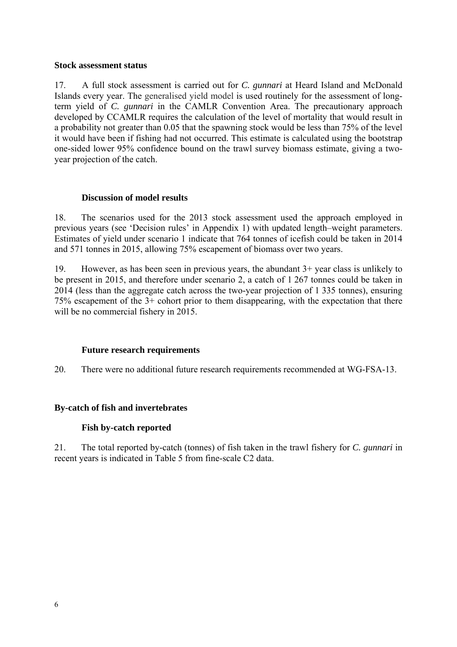### **Stock assessment status**

17. A full stock assessment is carried out for *C. gunnari* at Heard Island and McDonald Islands every year. The generalised yield model is used routinely for the assessment of longterm yield of *C. gunnari* in the CAMLR Convention Area. The precautionary approach developed by CCAMLR requires the calculation of the level of mortality that would result in a probability not greater than 0.05 that the spawning stock would be less than 75% of the level it would have been if fishing had not occurred. This estimate is calculated using the bootstrap one-sided lower 95% confidence bound on the trawl survey biomass estimate, giving a twoyear projection of the catch.

# **Discussion of model results**

18. The scenarios used for the 2013 stock assessment used the approach employed in previous years (see 'Decision rules' in Appendix 1) with updated length–weight parameters. Estimates of yield under scenario 1 indicate that 764 tonnes of icefish could be taken in 2014 and 571 tonnes in 2015, allowing 75% escapement of biomass over two years.

19. However, as has been seen in previous years, the abundant 3+ year class is unlikely to be present in 2015, and therefore under scenario 2, a catch of 1 267 tonnes could be taken in 2014 (less than the aggregate catch across the two-year projection of 1 335 tonnes), ensuring 75% escapement of the 3+ cohort prior to them disappearing, with the expectation that there will be no commercial fishery in 2015.

## **Future research requirements**

20. There were no additional future research requirements recommended at WG-FSA-13.

# **By-catch of fish and invertebrates**

## **Fish by-catch reported**

21. The total reported by-catch (tonnes) of fish taken in the trawl fishery for *C. gunnari* in recent years is indicated in Table 5 from fine-scale C2 data.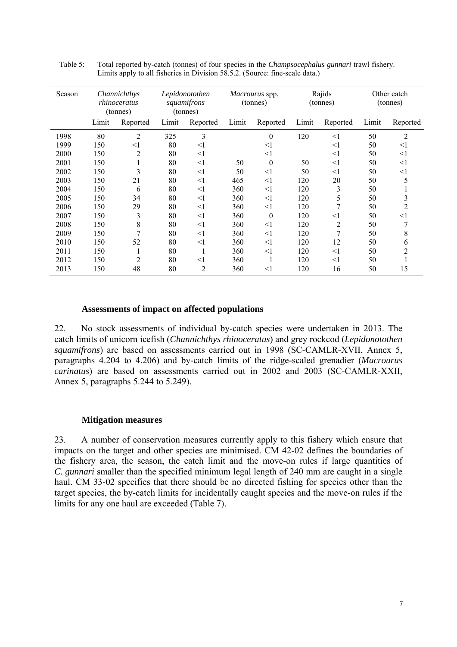| Season |       | Channichthys<br>rhinoceratus<br>(tonnes) |       | Lepidonotothen<br>squamifrons<br>(tonnes) |       | Macrourus spp.<br>(tonnes) |       | Rajids<br>(tonnes) |       | Other catch<br>(tonnes) |
|--------|-------|------------------------------------------|-------|-------------------------------------------|-------|----------------------------|-------|--------------------|-------|-------------------------|
|        | Limit | Reported                                 | Limit | Reported                                  | Limit | Reported                   | Limit | Reported           | Limit | Reported                |
| 1998   | 80    | $\overline{c}$                           | 325   | 3                                         |       | $\boldsymbol{0}$           | 120   | $\leq$ 1           | 50    | $\overline{c}$          |
| 1999   | 150   | $<$ l                                    | 80    | $\leq$ 1                                  |       | $\leq$ 1                   |       | $\leq$ 1           | 50    | $\leq$ 1                |
| 2000   | 150   | 2                                        | 80    | $\leq$ 1                                  |       | $\leq$ 1                   |       | $<$ 1              | 50    | $<$ 1                   |
| 2001   | 150   |                                          | 80    | $<$ 1                                     | 50    | $\boldsymbol{0}$           | 50    | $<$ 1              | 50    | $<$ 1                   |
| 2002   | 150   | 3                                        | 80    | $\leq$ 1                                  | 50    | $\leq$ 1                   | 50    | $<$ 1              | 50    | $<$ 1                   |
| 2003   | 150   | 21                                       | 80    | $\leq$ 1                                  | 465   | $\leq$ 1                   | 120   | 20                 | 50    | 5                       |
| 2004   | 150   | 6                                        | 80    | $\leq$ 1                                  | 360   | $\leq$ 1                   | 120   | 3                  | 50    |                         |
| 2005   | 150   | 34                                       | 80    | $\leq$ 1                                  | 360   | $\leq$ 1                   | 120   | 5                  | 50    | 3                       |
| 2006   | 150   | 29                                       | 80    | $\leq$ 1                                  | 360   | $\leq$ 1                   | 120   | 7                  | 50    | 2                       |
| 2007   | 150   | 3                                        | 80    | $\leq$ 1                                  | 360   | $\boldsymbol{0}$           | 120   | $<$ 1              | 50    | $<$ $\!1$               |
| 2008   | 150   | 8                                        | 80    | $\leq$ 1                                  | 360   | $\leq$ 1                   | 120   | $\overline{2}$     | 50    | 7                       |
| 2009   | 150   | 7                                        | 80    | $\leq$ 1                                  | 360   | $\leq$ 1                   | 120   | 7                  | 50    | 8                       |
| 2010   | 150   | 52                                       | 80    | $\leq$ 1                                  | 360   | $\leq$ 1                   | 120   | 12                 | 50    | h                       |
| 2011   | 150   | ш                                        | 80    | 1                                         | 360   | $\leq$ 1                   | 120   | $<$ 1              | 50    | 2                       |
| 2012   | 150   | 2                                        | 80    | $\leq$ 1                                  | 360   |                            | 120   | $<$ 1              | 50    |                         |
| 2013   | 150   | 48                                       | 80    | $\overline{2}$                            | 360   | $<$ 1                      | 120   | 16                 | 50    | 15                      |

Table 5: Total reported by-catch (tonnes) of four species in the *Champsocephalus gunnari* trawl fishery. Limits apply to all fisheries in Division 58.5.2. (Source: fine-scale data.)

## **Assessments of impact on affected populations**

22. No stock assessments of individual by-catch species were undertaken in 2013. The catch limits of unicorn icefish (*Channichthys rhinoceratus*) and grey rockcod (*Lepidonotothen squamifrons*) are based on assessments carried out in 1998 (SC-CAMLR-XVII, Annex 5, paragraphs 4.204 to 4.206) and by-catch limits of the ridge-scaled grenadier (*Macrourus carinatus*) are based on assessments carried out in 2002 and 2003 (SC-CAMLR-XXII, Annex 5, paragraphs 5.244 to 5.249).

#### **Mitigation measures**

23. A number of conservation measures currently apply to this fishery which ensure that impacts on the target and other species are minimised. CM 42-02 defines the boundaries of the fishery area, the season, the catch limit and the move-on rules if large quantities of *C. gunnari* smaller than the specified minimum legal length of 240 mm are caught in a single haul. CM 33-02 specifies that there should be no directed fishing for species other than the target species, the by-catch limits for incidentally caught species and the move-on rules if the limits for any one haul are exceeded (Table 7).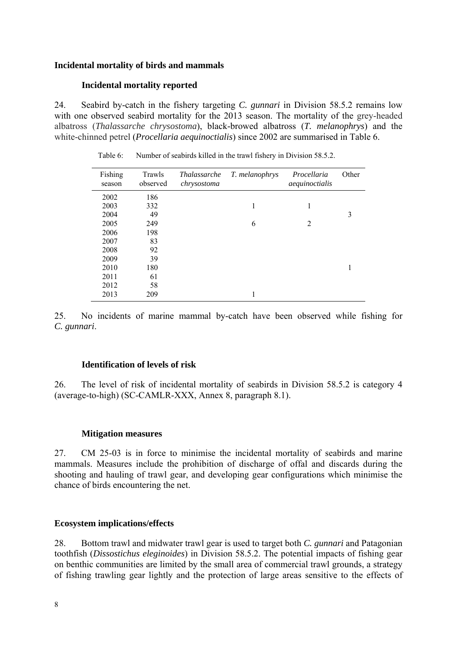## **Incidental mortality of birds and mammals**

# **Incidental mortality reported**

24. Seabird by-catch in the fishery targeting *C. gunnari* in Division 58.5.2 remains low with one observed seabird mortality for the 2013 season. The mortality of the grey-headed albatross (*Thalassarche chrysostoma*), black-browed albatross (*T. melanophrys*) and the white-chinned petrel (*Procellaria aequinoctialis*) since 2002 are summarised in Table 6.

| Fishing<br>season | Trawls<br>observed | <i>Thalassarche</i><br>chrysostoma | T. melanophrys | Procellaria<br>aequinoctialis | Other |
|-------------------|--------------------|------------------------------------|----------------|-------------------------------|-------|
| 2002              | 186                |                                    |                |                               |       |
| 2003              | 332                |                                    | 1              |                               |       |
| 2004              | 49                 |                                    |                |                               | 3     |
| 2005              | 249                |                                    | 6              | 2                             |       |
| 2006              | 198                |                                    |                |                               |       |
| 2007              | 83                 |                                    |                |                               |       |
| 2008              | 92                 |                                    |                |                               |       |
| 2009              | 39                 |                                    |                |                               |       |
| 2010              | 180                |                                    |                |                               |       |
| 2011              | 61                 |                                    |                |                               |       |
| 2012              | 58                 |                                    |                |                               |       |
| 2013              | 209                |                                    |                |                               |       |

Table 6: Number of seabirds killed in the trawl fishery in Division 58.5.2.

25. No incidents of marine mammal by-catch have been observed while fishing for *C. gunnari*.

## **Identification of levels of risk**

26. The level of risk of incidental mortality of seabirds in Division 58.5.2 is category 4 (average-to-high) (SC-CAMLR-XXX, Annex 8, paragraph 8.1).

## **Mitigation measures**

27. CM 25-03 is in force to minimise the incidental mortality of seabirds and marine mammals. Measures include the prohibition of discharge of offal and discards during the shooting and hauling of trawl gear, and developing gear configurations which minimise the chance of birds encountering the net.

# **Ecosystem implications/effects**

28. Bottom trawl and midwater trawl gear is used to target both *C. gunnari* and Patagonian toothfish (*Dissostichus eleginoides*) in Division 58.5.2. The potential impacts of fishing gear on benthic communities are limited by the small area of commercial trawl grounds, a strategy of fishing trawling gear lightly and the protection of large areas sensitive to the effects of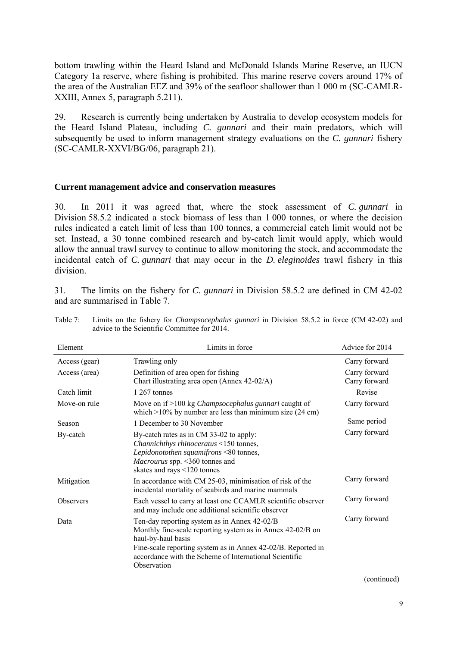bottom trawling within the Heard Island and McDonald Islands Marine Reserve, an IUCN Category 1a reserve, where fishing is prohibited. This marine reserve covers around 17% of the area of the Australian EEZ and 39% of the seafloor shallower than 1 000 m (SC-CAMLR-XXIII, Annex 5, paragraph 5.211).

29. Research is currently being undertaken by Australia to develop ecosystem models for the Heard Island Plateau, including *C. gunnari* and their main predators, which will subsequently be used to inform management strategy evaluations on the *C. gunnari* fishery (SC-CAMLR-XXVI/BG/06, paragraph 21).

#### **Current management advice and conservation measures**

30. In 2011 it was agreed that, where the stock assessment of *C. gunnari* in Division 58.5.2 indicated a stock biomass of less than 1 000 tonnes, or where the decision rules indicated a catch limit of less than 100 tonnes, a commercial catch limit would not be set. Instead, a 30 tonne combined research and by-catch limit would apply, which would allow the annual trawl survey to continue to allow monitoring the stock, and accommodate the incidental catch of *C. gunnari* that may occur in the *D. eleginoides* trawl fishery in this division.

31. The limits on the fishery for *C. gunnari* in Division 58.5.2 are defined in CM 42-02 and are summarised in Table 7.

| Element          | Limits in force                                                                                                                                                                                                                                                           | Advice for 2014                |
|------------------|---------------------------------------------------------------------------------------------------------------------------------------------------------------------------------------------------------------------------------------------------------------------------|--------------------------------|
| Access (gear)    | Trawling only                                                                                                                                                                                                                                                             | Carry forward                  |
| Access (area)    | Definition of area open for fishing<br>Chart illustrating area open (Annex 42-02/A)                                                                                                                                                                                       | Carry forward<br>Carry forward |
| Catch limit      | 1 267 tonnes                                                                                                                                                                                                                                                              | Revise                         |
| Move-on rule     | Move on if >100 kg <i>Champsocephalus gunnari</i> caught of<br>which $>10\%$ by number are less than minimum size (24 cm)                                                                                                                                                 | Carry forward                  |
| Season           | 1 December to 30 November                                                                                                                                                                                                                                                 | Same period                    |
| By-catch         | By-catch rates as in CM 33-02 to apply:<br>Channichthys rhinoceratus <150 tonnes,<br>Lepidonotothen squamifrons <80 tonnes,<br>Macrourus spp. <360 tonnes and<br>skates and rays <120 tonnes                                                                              | Carry forward                  |
| Mitigation       | In accordance with CM 25-03, minimisation of risk of the<br>incidental mortality of seabirds and marine mammals                                                                                                                                                           | Carry forward                  |
| <b>Observers</b> | Each vessel to carry at least one CCAMLR scientific observer<br>and may include one additional scientific observer                                                                                                                                                        | Carry forward                  |
| Data             | Ten-day reporting system as in Annex 42-02/B<br>Monthly fine-scale reporting system as in Annex 42-02/B on<br>haul-by-haul basis<br>Fine-scale reporting system as in Annex 42-02/B. Reported in<br>accordance with the Scheme of International Scientific<br>Observation | Carry forward                  |

Table 7: Limits on the fishery for *Champsocephalus gunnari* in Division 58.5.2 in force (CM 42-02) and advice to the Scientific Committee for 2014.

(continued)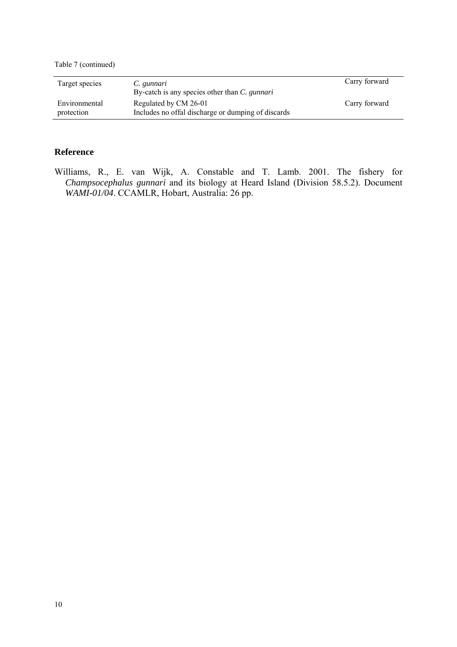Table 7 (continued)

| Target species              | C. gunnari<br>By-catch is any species other than C. gunnari                 | Carry forward |
|-----------------------------|-----------------------------------------------------------------------------|---------------|
| Environmental<br>protection | Regulated by CM 26-01<br>Includes no offal discharge or dumping of discards | Carry forward |

### **Reference**

Williams, R., E. van Wijk, A. Constable and T. Lamb. 2001. The fishery for *Champsocephalus gunnari* and its biology at Heard Island (Division 58.5.2). Document *WAMI-01/04*. CCAMLR, Hobart, Australia: 26 pp.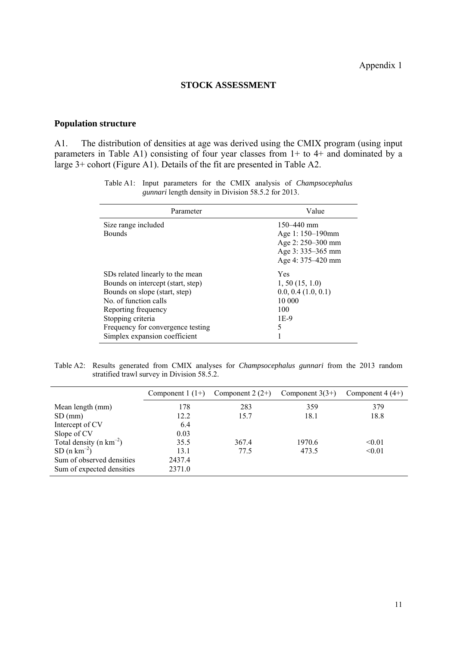### **STOCK ASSESSMENT**

### **Population structure**

 $\ddot{\phantom{a}}$ 

A1. The distribution of densities at age was derived using the CMIX program (using input parameters in Table A1) consisting of four year classes from 1+ to 4+ and dominated by a large 3+ cohort (Figure A1). Details of the fit are presented in Table A2.

| Parameter                         | Value                   |
|-----------------------------------|-------------------------|
| Size range included               | $150 - 440$ mm          |
| <b>Bounds</b>                     | Age 1: 150–190mm        |
|                                   | Age 2: 250–300 mm       |
|                                   | Age 3: 335–365 mm       |
|                                   | Age 4: 375–420 mm       |
| SDs related linearly to the mean  | Yes                     |
| Bounds on intercept (start, step) | $1, 50$ (15, 1.0)       |
| Bounds on slope (start, step)     | $0.0, 0.4$ $(1.0, 0.1)$ |
| No of function calls              | 10 000                  |
| Reporting frequency               | 100                     |
| Stopping criteria                 | 1E-9                    |
| Frequency for convergence testing | 5                       |
| Simplex expansion coefficient     |                         |

Table A1: Input parameters for the CMIX analysis of *Champsocephalus gunnari* length density in Division 58.5.2 for 2013.

Table A2: Results generated from CMIX analyses for *Champsocephalus gunnari* from the 2013 random stratified trawl survey in Division 58.5.2.

|                                       | Component $1(1+)$ | Component $2(2+)$ | Component $3(3+)$ | Component $4(4+)$ |
|---------------------------------------|-------------------|-------------------|-------------------|-------------------|
| Mean length (mm)                      | 178               | 283               | 359               | 379               |
| $SD$ (mm)                             | 12.2              | 15.7              | 18.1              | 18.8              |
| Intercept of CV                       | 6.4               |                   |                   |                   |
| Slope of CV                           | 0.03              |                   |                   |                   |
| Total density ( $n \text{ km}^{-2}$ ) | 35.5              | 367.4             | 1970.6            | < 0.01            |
| $SD (n km-2)$                         | 13.1              | 77.5              | 473.5             | < 0.01            |
| Sum of observed densities             | 2437.4            |                   |                   |                   |
| Sum of expected densities             | 2371.0            |                   |                   |                   |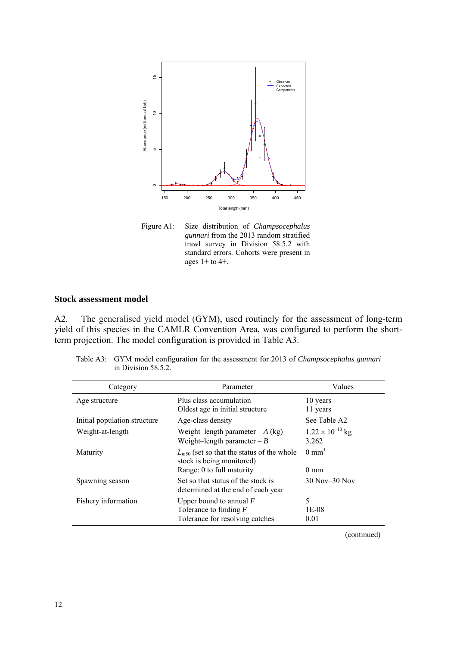

Figure A1: Size distribution of *Champsocephalus gunnari* from the 2013 random stratified trawl survey in Division 58.5.2 with standard errors. Cohorts were present in ages 1+ to 4+.

# **Stock assessment model**

A2. The generalised yield model (GYM), used routinely for the assessment of long-term yield of this species in the CAMLR Convention Area, was configured to perform the shortterm projection. The model configuration is provided in Table A3.

| Category                     | Parameter                                                                                                | Values                             |
|------------------------------|----------------------------------------------------------------------------------------------------------|------------------------------------|
| Age structure                | Plus class accumulation<br>Oldest age in initial structure                                               | 10 years<br>11 years               |
| Initial population structure | Age-class density                                                                                        | See Table A2                       |
| Weight-at-length             | Weight-length parameter $-A$ (kg)<br>Weight-length parameter $-B$                                        | $1.22 \times 10^{-10}$ kg<br>3.262 |
| Maturity                     | $L_{m50}$ (set so that the status of the whole<br>stock is being monitored)<br>Range: 0 to full maturity | $0 \text{ mm}^1$<br>$0 \text{ mm}$ |
| Spawning season              | Set so that status of the stock is<br>determined at the end of each year                                 | 30 Nov-30 Nov                      |
| Fishery information          | Upper bound to annual $F$<br>Tolerance to finding $F$<br>Tolerance for resolving catches                 | 5<br>1E-08<br>0.01                 |
|                              |                                                                                                          | (continued)                        |

Table A3: GYM model configuration for the assessment for 2013 of *Champsocephalus gunnari* in Division 58.5.2.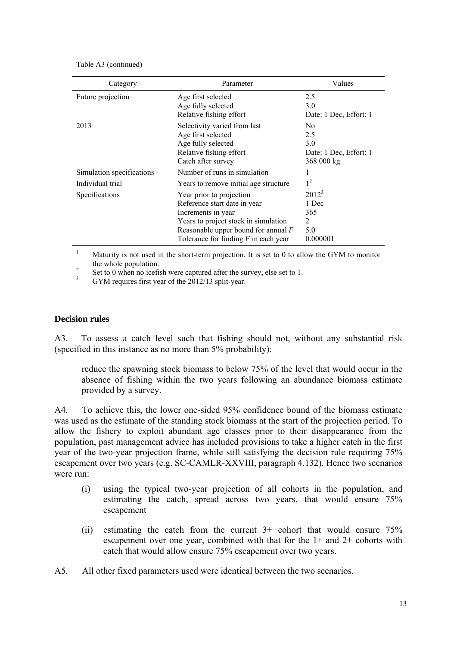| Category                  | Parameter                                                                                                                                                                                                 | Values                                                               |
|---------------------------|-----------------------------------------------------------------------------------------------------------------------------------------------------------------------------------------------------------|----------------------------------------------------------------------|
| Future projection         | Age first selected<br>Age fully selected                                                                                                                                                                  | 2.5<br>3.0                                                           |
|                           | Relative fishing effort                                                                                                                                                                                   | Date: 1 Dec, Effort: 1                                               |
| 2013                      | Selectivity varied from last<br>Age first selected<br>Age fully selected<br>Relative fishing effort<br>Catch after survey                                                                                 | N <sub>0</sub><br>2.5<br>3.0<br>Date: 1 Dec, Effort: 1<br>368 000 kg |
| Simulation specifications | Number of runs in simulation                                                                                                                                                                              |                                                                      |
| Individual trial          | Years to remove initial age structure                                                                                                                                                                     | 1 <sup>2</sup>                                                       |
| Specifications            | Year prior to projection<br>Reference start date in year<br>Increments in year<br>Years to project stock in simulation<br>Reasonable upper bound for annual $F$<br>Tolerance for finding $F$ in each year | $2012^3$<br>1 Dec<br>365<br>2<br>5.0<br>0.000001                     |

1 Maturity is not used in the short-term projection. It is set to 0 to allow the GYM to monitor the whole population.

 $\frac{2}{3}$  Set to 0 when no icefish were captured after the survey, else set to 1.

GYM requires first year of the 2012/13 split-year.

### **Decision rules**

A3. To assess a catch level such that fishing should not, without any substantial risk (specified in this instance as no more than 5% probability):

reduce the spawning stock biomass to below 75% of the level that would occur in the absence of fishing within the two years following an abundance biomass estimate provided by a survey.

A4. To achieve this, the lower one-sided 95% confidence bound of the biomass estimate was used as the estimate of the standing stock biomass at the start of the projection period. To allow the fishery to exploit abundant age classes prior to their disappearance from the population, past management advice has included provisions to take a higher catch in the first year of the two-year projection frame, while still satisfying the decision rule requiring 75% escapement over two years (e.g. SC-CAMLR-XXVIII, paragraph 4.132). Hence two scenarios were run:

- (i) using the typical two-year projection of all cohorts in the population, and estimating the catch, spread across two years, that would ensure 75% escapement
- (ii) estimating the catch from the current 3+ cohort that would ensure 75% escapement over one year, combined with that for the 1+ and 2+ cohorts with catch that would allow ensure 75% escapement over two years.
- A5. All other fixed parameters used were identical between the two scenarios.